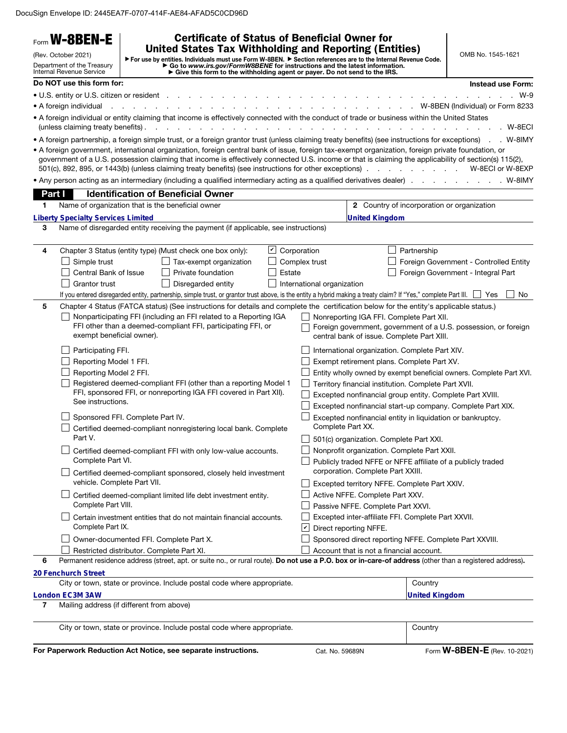DocuSign Envelope ID: 2445EA7F-0707-414F-AE84-AFAD5C0CD96D

|        | Form W-8BEN-E                                                                                                                                                  |                                                                                                                                                                                                                                                                                                                                                                                                                        | <b>Certificate of Status of Beneficial Owner for</b>                                                                                                       |                                                                                                                                                           |  |
|--------|----------------------------------------------------------------------------------------------------------------------------------------------------------------|------------------------------------------------------------------------------------------------------------------------------------------------------------------------------------------------------------------------------------------------------------------------------------------------------------------------------------------------------------------------------------------------------------------------|------------------------------------------------------------------------------------------------------------------------------------------------------------|-----------------------------------------------------------------------------------------------------------------------------------------------------------|--|
|        | (Rev. October 2021)<br>Department of the Treasury<br><b>Internal Revenue Service</b>                                                                           | <b>United States Tax Withholding and Reporting (Entities)</b><br>For use by entities. Individuals must use Form W-8BEN. Fection references are to the Internal Revenue Code.                                                                                                                                                                                                                                           | ► Go to www.irs.gov/FormW8BENE for instructions and the latest information.<br>► Give this form to the withholding agent or payer. Do not send to the IRS. | OMB No. 1545-1621                                                                                                                                         |  |
|        | Do NOT use this form for:                                                                                                                                      |                                                                                                                                                                                                                                                                                                                                                                                                                        |                                                                                                                                                            | <b>Instead use Form:</b>                                                                                                                                  |  |
|        | • U.S. entity or U.S. citizen or resident                                                                                                                      |                                                                                                                                                                                                                                                                                                                                                                                                                        |                                                                                                                                                            | $W-9$                                                                                                                                                     |  |
|        | • A foreign individual                                                                                                                                         |                                                                                                                                                                                                                                                                                                                                                                                                                        |                                                                                                                                                            | . W-8BEN (Individual) or Form 8233                                                                                                                        |  |
|        | (unless claiming treaty benefits).                                                                                                                             | • A foreign individual or entity claiming that income is effectively connected with the conduct of trade or business within the United States<br>$\mathbf{r}$ and $\mathbf{r}$ and $\mathbf{r}$                                                                                                                                                                                                                        |                                                                                                                                                            | . W-8ECI                                                                                                                                                  |  |
|        |                                                                                                                                                                | • A foreign partnership, a foreign simple trust, or a foreign grantor trust (unless claiming treaty benefits) (see instructions for exceptions). W-8IMY                                                                                                                                                                                                                                                                |                                                                                                                                                            |                                                                                                                                                           |  |
|        |                                                                                                                                                                | • A foreign government, international organization, foreign central bank of issue, foreign tax-exempt organization, foreign private foundation, or<br>government of a U.S. possession claiming that income is effectively connected U.S. income or that is claiming the applicability of section(s) 115(2),<br>501(c), 892, 895, or 1443(b) (unless claiming treaty benefits) (see instructions for other exceptions). |                                                                                                                                                            | W-8ECI or W-8EXP<br>$\mathbf{r}$ , and $\mathbf{r}$ , and $\mathbf{r}$ , and $\mathbf{r}$                                                                 |  |
|        |                                                                                                                                                                | • Any person acting as an intermediary (including a qualified intermediary acting as a qualified derivatives dealer).                                                                                                                                                                                                                                                                                                  |                                                                                                                                                            | . W-8IMY                                                                                                                                                  |  |
| Part I |                                                                                                                                                                | <b>Identification of Beneficial Owner</b>                                                                                                                                                                                                                                                                                                                                                                              |                                                                                                                                                            |                                                                                                                                                           |  |
| 1.     |                                                                                                                                                                | Name of organization that is the beneficial owner                                                                                                                                                                                                                                                                                                                                                                      |                                                                                                                                                            | <b>2</b> Country of incorporation or organization                                                                                                         |  |
|        | <b>Liberty Specialty Services Limited</b>                                                                                                                      |                                                                                                                                                                                                                                                                                                                                                                                                                        | <b>United Kingdom</b>                                                                                                                                      |                                                                                                                                                           |  |
| 3      |                                                                                                                                                                | Name of disregarded entity receiving the payment (if applicable, see instructions)                                                                                                                                                                                                                                                                                                                                     |                                                                                                                                                            |                                                                                                                                                           |  |
| 4      |                                                                                                                                                                | Chapter 3 Status (entity type) (Must check one box only):<br>$ \mathcal{V} $                                                                                                                                                                                                                                                                                                                                           | Corporation                                                                                                                                                | Partnership                                                                                                                                               |  |
|        | Simple trust                                                                                                                                                   | Tax-exempt organization                                                                                                                                                                                                                                                                                                                                                                                                | Complex trust                                                                                                                                              | Foreign Government - Controlled Entity                                                                                                                    |  |
|        | Central Bank of Issue                                                                                                                                          | Private foundation                                                                                                                                                                                                                                                                                                                                                                                                     | Estate                                                                                                                                                     | Foreign Government - Integral Part                                                                                                                        |  |
|        | <b>Grantor trust</b>                                                                                                                                           | Disregarded entity                                                                                                                                                                                                                                                                                                                                                                                                     | International organization                                                                                                                                 |                                                                                                                                                           |  |
|        |                                                                                                                                                                | If you entered disregarded entity, partnership, simple trust, or grantor trust above, is the entity a hybrid making a treaty claim? If "Yes," complete Part III.                                                                                                                                                                                                                                                       |                                                                                                                                                            | No.<br>Yes                                                                                                                                                |  |
| 5      |                                                                                                                                                                | Chapter 4 Status (FATCA status) (See instructions for details and complete the certification below for the entity's applicable status.)                                                                                                                                                                                                                                                                                |                                                                                                                                                            |                                                                                                                                                           |  |
|        | Nonparticipating FFI (including an FFI related to a Reporting IGA<br>FFI other than a deemed-compliant FFI, participating FFI, or<br>exempt beneficial owner). |                                                                                                                                                                                                                                                                                                                                                                                                                        |                                                                                                                                                            | Nonreporting IGA FFI. Complete Part XII.<br>Foreign government, government of a U.S. possession, or foreign<br>central bank of issue. Complete Part XIII. |  |
|        | Participating FFI.                                                                                                                                             |                                                                                                                                                                                                                                                                                                                                                                                                                        | International organization. Complete Part XIV.                                                                                                             |                                                                                                                                                           |  |
|        | Reporting Model 1 FFI.                                                                                                                                         |                                                                                                                                                                                                                                                                                                                                                                                                                        | Exempt retirement plans. Complete Part XV.                                                                                                                 |                                                                                                                                                           |  |
|        | Reporting Model 2 FFI.                                                                                                                                         |                                                                                                                                                                                                                                                                                                                                                                                                                        |                                                                                                                                                            | Entity wholly owned by exempt beneficial owners. Complete Part XVI.                                                                                       |  |
|        | See instructions.                                                                                                                                              | Registered deemed-compliant FFI (other than a reporting Model 1<br>FFI, sponsored FFI, or nonreporting IGA FFI covered in Part XII).                                                                                                                                                                                                                                                                                   | Territory financial institution. Complete Part XVII.                                                                                                       | Excepted nonfinancial group entity. Complete Part XVIII.                                                                                                  |  |
|        |                                                                                                                                                                |                                                                                                                                                                                                                                                                                                                                                                                                                        |                                                                                                                                                            | Excepted nonfinancial start-up company. Complete Part XIX.                                                                                                |  |
|        |                                                                                                                                                                | Sponsored FFI. Complete Part IV.                                                                                                                                                                                                                                                                                                                                                                                       | Complete Part XX.                                                                                                                                          | Excepted nonfinancial entity in liquidation or bankruptcy.                                                                                                |  |
|        | Part V.                                                                                                                                                        | Certified deemed-compliant nonregistering local bank. Complete                                                                                                                                                                                                                                                                                                                                                         | 501(c) organization. Complete Part XXI.                                                                                                                    |                                                                                                                                                           |  |
|        |                                                                                                                                                                | Certified deemed-compliant FFI with only low-value accounts.                                                                                                                                                                                                                                                                                                                                                           | Nonprofit organization. Complete Part XXII.                                                                                                                |                                                                                                                                                           |  |
|        | Complete Part VI.                                                                                                                                              | Certified deemed-compliant sponsored, closely held investment                                                                                                                                                                                                                                                                                                                                                          | corporation. Complete Part XXIII.                                                                                                                          | Publicly traded NFFE or NFFE affiliate of a publicly traded                                                                                               |  |
|        | vehicle. Complete Part VII.                                                                                                                                    |                                                                                                                                                                                                                                                                                                                                                                                                                        | Excepted territory NFFE. Complete Part XXIV.                                                                                                               |                                                                                                                                                           |  |
|        |                                                                                                                                                                | Certified deemed-compliant limited life debt investment entity.                                                                                                                                                                                                                                                                                                                                                        | Active NFFE. Complete Part XXV.                                                                                                                            |                                                                                                                                                           |  |
|        | Complete Part VIII.                                                                                                                                            |                                                                                                                                                                                                                                                                                                                                                                                                                        | Passive NFFE. Complete Part XXVI.                                                                                                                          |                                                                                                                                                           |  |
|        | Complete Part IX.                                                                                                                                              | Certain investment entities that do not maintain financial accounts.                                                                                                                                                                                                                                                                                                                                                   | Excepted inter-affiliate FFI. Complete Part XXVII.<br>Direct reporting NFFE.<br>∣∽∣                                                                        |                                                                                                                                                           |  |
|        |                                                                                                                                                                | Owner-documented FFI. Complete Part X.                                                                                                                                                                                                                                                                                                                                                                                 |                                                                                                                                                            | Sponsored direct reporting NFFE. Complete Part XXVIII.                                                                                                    |  |
|        |                                                                                                                                                                | Restricted distributor. Complete Part XI.                                                                                                                                                                                                                                                                                                                                                                              | Account that is not a financial account.                                                                                                                   |                                                                                                                                                           |  |
| 6      |                                                                                                                                                                | Permanent residence address (street, apt. or suite no., or rural route). Do not use a P.O. box or in-care-of address (other than a registered address).                                                                                                                                                                                                                                                                |                                                                                                                                                            |                                                                                                                                                           |  |
|        | 20 Fenchurch Street                                                                                                                                            |                                                                                                                                                                                                                                                                                                                                                                                                                        |                                                                                                                                                            |                                                                                                                                                           |  |
|        |                                                                                                                                                                | City or town, state or province. Include postal code where appropriate.                                                                                                                                                                                                                                                                                                                                                |                                                                                                                                                            | Country                                                                                                                                                   |  |
| 7      | London EC3M 3AW                                                                                                                                                | Mailing address (if different from above)                                                                                                                                                                                                                                                                                                                                                                              |                                                                                                                                                            | <b>United Kingdom</b>                                                                                                                                     |  |
|        |                                                                                                                                                                |                                                                                                                                                                                                                                                                                                                                                                                                                        |                                                                                                                                                            |                                                                                                                                                           |  |
|        |                                                                                                                                                                | City or town, state or province. Include postal code where appropriate.                                                                                                                                                                                                                                                                                                                                                |                                                                                                                                                            | Country                                                                                                                                                   |  |
|        |                                                                                                                                                                | For Paperwork Reduction Act Notice, see separate instructions.                                                                                                                                                                                                                                                                                                                                                         | Cat. No. 59689N                                                                                                                                            | Form <b>W-8BEN-E</b> (Rev. 10-2021)                                                                                                                       |  |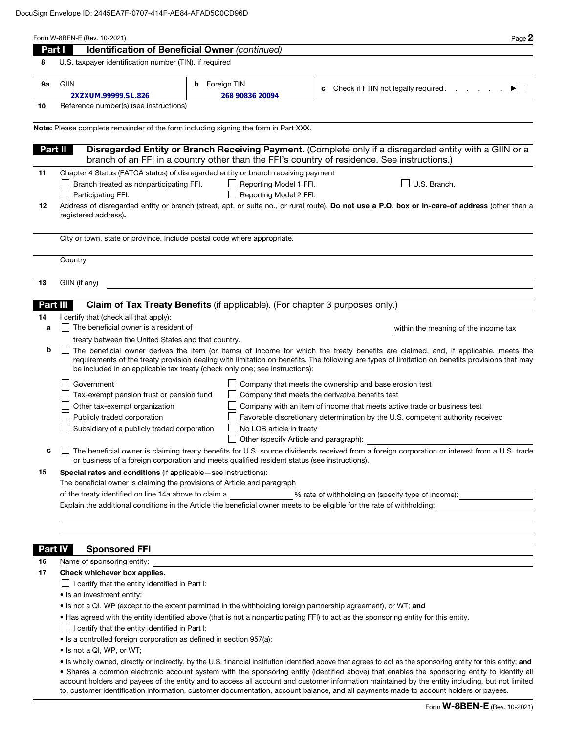| Part I         | Page 2<br>Identification of Beneficial Owner (continued)                                                                                                                                                                                                                                                                                                                                                                                 |  |  |  |
|----------------|------------------------------------------------------------------------------------------------------------------------------------------------------------------------------------------------------------------------------------------------------------------------------------------------------------------------------------------------------------------------------------------------------------------------------------------|--|--|--|
| 8              | U.S. taxpayer identification number (TIN), if required                                                                                                                                                                                                                                                                                                                                                                                   |  |  |  |
|                |                                                                                                                                                                                                                                                                                                                                                                                                                                          |  |  |  |
| 9a             | GIIN<br>Foreign TIN<br>b<br>Check if FTIN not legally required.                                                                                                                                                                                                                                                                                                                                                                          |  |  |  |
|                | c<br>▶⊟<br>2XZXUM.99999.SL.826<br>268 90836 20094                                                                                                                                                                                                                                                                                                                                                                                        |  |  |  |
| 10             | Reference number(s) (see instructions)                                                                                                                                                                                                                                                                                                                                                                                                   |  |  |  |
|                |                                                                                                                                                                                                                                                                                                                                                                                                                                          |  |  |  |
|                | Note: Please complete remainder of the form including signing the form in Part XXX.                                                                                                                                                                                                                                                                                                                                                      |  |  |  |
|                |                                                                                                                                                                                                                                                                                                                                                                                                                                          |  |  |  |
|                | Disregarded Entity or Branch Receiving Payment. (Complete only if a disregarded entity with a GIIN or a<br>Part II<br>branch of an FFI in a country other than the FFI's country of residence. See instructions.)                                                                                                                                                                                                                        |  |  |  |
|                |                                                                                                                                                                                                                                                                                                                                                                                                                                          |  |  |  |
| 11             | Chapter 4 Status (FATCA status) of disregarded entity or branch receiving payment<br>Branch treated as nonparticipating FFI.<br>Reporting Model 1 FFI.<br>U.S. Branch.                                                                                                                                                                                                                                                                   |  |  |  |
|                | Participating FFI.<br>Reporting Model 2 FFI.                                                                                                                                                                                                                                                                                                                                                                                             |  |  |  |
| 12             | Address of disregarded entity or branch (street, apt. or suite no., or rural route). Do not use a P.O. box or in-care-of address (other than a                                                                                                                                                                                                                                                                                           |  |  |  |
|                | registered address).                                                                                                                                                                                                                                                                                                                                                                                                                     |  |  |  |
|                |                                                                                                                                                                                                                                                                                                                                                                                                                                          |  |  |  |
|                | City or town, state or province. Include postal code where appropriate.                                                                                                                                                                                                                                                                                                                                                                  |  |  |  |
|                |                                                                                                                                                                                                                                                                                                                                                                                                                                          |  |  |  |
|                | Country                                                                                                                                                                                                                                                                                                                                                                                                                                  |  |  |  |
|                |                                                                                                                                                                                                                                                                                                                                                                                                                                          |  |  |  |
| 13             | GIIN (if any)                                                                                                                                                                                                                                                                                                                                                                                                                            |  |  |  |
|                |                                                                                                                                                                                                                                                                                                                                                                                                                                          |  |  |  |
|                | Claim of Tax Treaty Benefits (if applicable). (For chapter 3 purposes only.)<br>Part III                                                                                                                                                                                                                                                                                                                                                 |  |  |  |
| 14             | I certify that (check all that apply):                                                                                                                                                                                                                                                                                                                                                                                                   |  |  |  |
| a              | The beneficial owner is a resident of<br>within the meaning of the income tax                                                                                                                                                                                                                                                                                                                                                            |  |  |  |
|                | treaty between the United States and that country.                                                                                                                                                                                                                                                                                                                                                                                       |  |  |  |
| b              | The beneficial owner derives the item (or items) of income for which the treaty benefits are claimed, and, if applicable, meets the<br>requirements of the treaty provision dealing with limitation on benefits. The following are types of limitation on benefits provisions that may<br>be included in an applicable tax treaty (check only one; see instructions):                                                                    |  |  |  |
|                | Company that meets the ownership and base erosion test<br>Government                                                                                                                                                                                                                                                                                                                                                                     |  |  |  |
|                | Tax-exempt pension trust or pension fund<br>Company that meets the derivative benefits test                                                                                                                                                                                                                                                                                                                                              |  |  |  |
|                | Other tax-exempt organization<br>Company with an item of income that meets active trade or business test                                                                                                                                                                                                                                                                                                                                 |  |  |  |
|                | Publicly traded corporation<br>Favorable discretionary determination by the U.S. competent authority received                                                                                                                                                                                                                                                                                                                            |  |  |  |
|                | Subsidiary of a publicly traded corporation<br>No LOB article in treaty                                                                                                                                                                                                                                                                                                                                                                  |  |  |  |
|                | Other (specify Article and paragraph):                                                                                                                                                                                                                                                                                                                                                                                                   |  |  |  |
| c              | The beneficial owner is claiming treaty benefits for U.S. source dividends received from a foreign corporation or interest from a U.S. trade                                                                                                                                                                                                                                                                                             |  |  |  |
|                | or business of a foreign corporation and meets qualified resident status (see instructions).                                                                                                                                                                                                                                                                                                                                             |  |  |  |
| 15             | Special rates and conditions (if applicable - see instructions):                                                                                                                                                                                                                                                                                                                                                                         |  |  |  |
|                | The beneficial owner is claiming the provisions of Article and paragraph<br>of the treaty identified on line 14a above to claim a                                                                                                                                                                                                                                                                                                        |  |  |  |
|                | % rate of withholding on (specify type of income):<br>Explain the additional conditions in the Article the beneficial owner meets to be eligible for the rate of withholding:                                                                                                                                                                                                                                                            |  |  |  |
|                |                                                                                                                                                                                                                                                                                                                                                                                                                                          |  |  |  |
|                |                                                                                                                                                                                                                                                                                                                                                                                                                                          |  |  |  |
|                |                                                                                                                                                                                                                                                                                                                                                                                                                                          |  |  |  |
| <b>Part IV</b> | <b>Sponsored FFI</b>                                                                                                                                                                                                                                                                                                                                                                                                                     |  |  |  |
| 16             | Name of sponsoring entity:                                                                                                                                                                                                                                                                                                                                                                                                               |  |  |  |
| 17             | Check whichever box applies.                                                                                                                                                                                                                                                                                                                                                                                                             |  |  |  |
|                | $\Box$ I certify that the entity identified in Part I:                                                                                                                                                                                                                                                                                                                                                                                   |  |  |  |
|                | • Is an investment entity;                                                                                                                                                                                                                                                                                                                                                                                                               |  |  |  |
|                | • Is not a QI, WP (except to the extent permitted in the withholding foreign partnership agreement), or WT; and                                                                                                                                                                                                                                                                                                                          |  |  |  |
|                | • Has agreed with the entity identified above (that is not a nonparticipating FFI) to act as the sponsoring entity for this entity.                                                                                                                                                                                                                                                                                                      |  |  |  |
|                | $\Box$ I certify that the entity identified in Part I:                                                                                                                                                                                                                                                                                                                                                                                   |  |  |  |
|                | • Is a controlled foreign corporation as defined in section 957(a);                                                                                                                                                                                                                                                                                                                                                                      |  |  |  |
|                | • Is not a QI, WP, or WT;                                                                                                                                                                                                                                                                                                                                                                                                                |  |  |  |
|                | • Is wholly owned, directly or indirectly, by the U.S. financial institution identified above that agrees to act as the sponsoring entity for this entity; and                                                                                                                                                                                                                                                                           |  |  |  |
|                | . Shares a common electronic account system with the sponsoring entity (identified above) that enables the sponsoring entity to identify all<br>account holders and payees of the entity and to access all account and customer information maintained by the entity including, but not limited<br>to, customer identification information, customer documentation, account balance, and all payments made to account holders or payees. |  |  |  |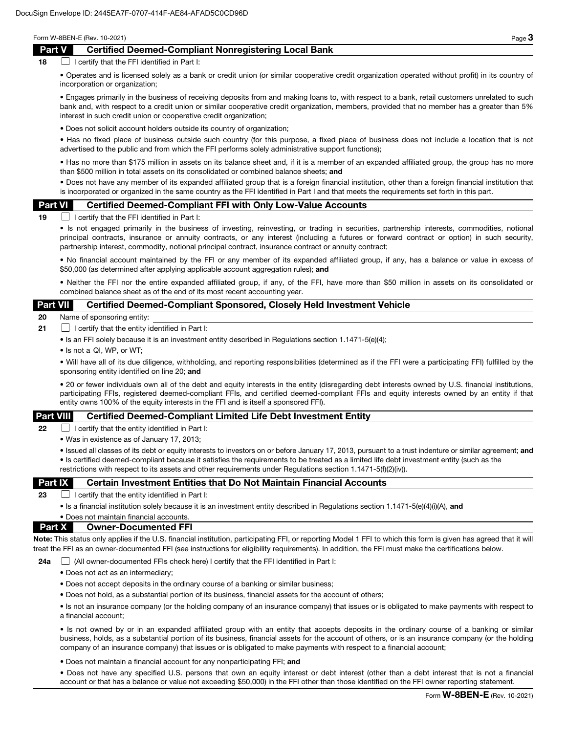## Part V Certified Deemed-Compliant Nonregistering Local Bank

 $18$  I certify that the FFI identified in Part I:

• Operates and is licensed solely as a bank or credit union (or similar cooperative credit organization operated without profit) in its country of incorporation or organization;

• Engages primarily in the business of receiving deposits from and making loans to, with respect to a bank, retail customers unrelated to such bank and, with respect to a credit union or similar cooperative credit organization, members, provided that no member has a greater than 5% interest in such credit union or cooperative credit organization;

• Does not solicit account holders outside its country of organization;

• Has no fixed place of business outside such country (for this purpose, a fixed place of business does not include a location that is not advertised to the public and from which the FFI performs solely administrative support functions);

• Has no more than \$175 million in assets on its balance sheet and, if it is a member of an expanded affiliated group, the group has no more than \$500 million in total assets on its consolidated or combined balance sheets; and

• Does not have any member of its expanded affiliated group that is a foreign financial institution, other than a foreign financial institution that is incorporated or organized in the same country as the FFI identified in Part I and that meets the requirements set forth in this part.

#### Part VI Certified Deemed-Compliant FFI with Only Low-Value Accounts

 $19$  I certify that the FFI identified in Part I:

• Is not engaged primarily in the business of investing, reinvesting, or trading in securities, partnership interests, commodities, notional principal contracts, insurance or annuity contracts, or any interest (including a futures or forward contract or option) in such security, partnership interest, commodity, notional principal contract, insurance contract or annuity contract;

• No financial account maintained by the FFI or any member of its expanded affiliated group, if any, has a balance or value in excess of \$50,000 (as determined after applying applicable account aggregation rules); and

• Neither the FFI nor the entire expanded affiliated group, if any, of the FFI, have more than \$50 million in assets on its consolidated or combined balance sheet as of the end of its most recent accounting year.

#### Part VII Certified Deemed-Compliant Sponsored, Closely Held Investment Vehicle

20 Name of sponsoring entity:

- **21**  $\Box$  I certify that the entity identified in Part I:
	- Is an FFI solely because it is an investment entity described in Regulations section 1.1471-5(e)(4);
	- Is not a QI, WP, or WT;

• Will have all of its due diligence, withholding, and reporting responsibilities (determined as if the FFI were a participating FFI) fulfilled by the sponsoring entity identified on line 20; and

• 20 or fewer individuals own all of the debt and equity interests in the entity (disregarding debt interests owned by U.S. financial institutions, participating FFIs, registered deemed-compliant FFIs, and certified deemed-compliant FFIs and equity interests owned by an entity if that entity owns 100% of the equity interests in the FFI and is itself a sponsored FFI).

#### Part VIII Certified Deemed-Compliant Limited Life Debt Investment Entity

**22**  $\Box$  I certify that the entity identified in Part I:

• Was in existence as of January 17, 2013;

• Issued all classes of its debt or equity interests to investors on or before January 17, 2013, pursuant to a trust indenture or similar agreement; and • Is certified deemed-compliant because it satisfies the requirements to be treated as a limited life debt investment entity (such as the restrictions with respect to its assets and other requirements under Regulations section 1.1471-5(f)(2)(iv)).

#### **Part IX** Certain Investment Entities that Do Not Maintain Financial Accounts

23  $\Box$  I certify that the entity identified in Part I:

• Is a financial institution solely because it is an investment entity described in Regulations section 1.1471-5(e)(4)(i)(A), and

#### • Does not maintain financial accounts. Part X Owner-Documented FFI

Note: This status only applies if the U.S. financial institution, participating FFI, or reporting Model 1 FFI to which this form is given has agreed that it will treat the FFI as an owner-documented FFI (see instructions for eligibility requirements). In addition, the FFI must make the certifications below.

24a  $\Box$  (All owner-documented FFIs check here) I certify that the FFI identified in Part I:

- Does not act as an intermediary;
- Does not accept deposits in the ordinary course of a banking or similar business;
- Does not hold, as a substantial portion of its business, financial assets for the account of others;

• Is not an insurance company (or the holding company of an insurance company) that issues or is obligated to make payments with respect to a financial account;

• Is not owned by or in an expanded affiliated group with an entity that accepts deposits in the ordinary course of a banking or similar business, holds, as a substantial portion of its business, financial assets for the account of others, or is an insurance company (or the holding company of an insurance company) that issues or is obligated to make payments with respect to a financial account;

• Does not maintain a financial account for any nonparticipating FFI; and

• Does not have any specified U.S. persons that own an equity interest or debt interest (other than a debt interest that is not a financial account or that has a balance or value not exceeding \$50,000) in the FFI other than those identified on the FFI owner reporting statement.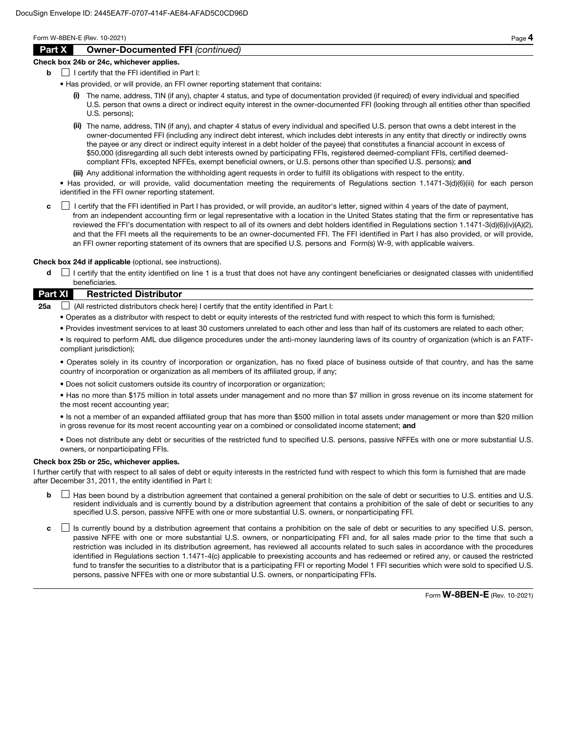# Part X Owner-Documented FFI *(continued)*

#### Check box 24b or 24c, whichever applies.

- $\mathbf{b}$  | I certify that the FFI identified in Part I:
	- Has provided, or will provide, an FFI owner reporting statement that contains:
		- (i) The name, address, TIN (if any), chapter 4 status, and type of documentation provided (if required) of every individual and specified U.S. person that owns a direct or indirect equity interest in the owner-documented FFI (looking through all entities other than specified U.S. persons);
		- (ii) The name, address, TIN (if any), and chapter 4 status of every individual and specified U.S. person that owns a debt interest in the owner-documented FFI (including any indirect debt interest, which includes debt interests in any entity that directly or indirectly owns the payee or any direct or indirect equity interest in a debt holder of the payee) that constitutes a financial account in excess of \$50,000 (disregarding all such debt interests owned by participating FFIs, registered deemed-compliant FFIs, certified deemedcompliant FFIs, excepted NFFEs, exempt beneficial owners, or U.S. persons other than specified U.S. persons); and
		- (iii) Any additional information the withholding agent requests in order to fulfill its obligations with respect to the entity.

• Has provided, or will provide, valid documentation meeting the requirements of Regulations section 1.1471-3(d)(6)(iii) for each person identified in the FFI owner reporting statement.

c **I** certify that the FFI identified in Part I has provided, or will provide, an auditor's letter, signed within 4 years of the date of payment, from an independent accounting firm or legal representative with a location in the United States stating that the firm or representative has reviewed the FFI's documentation with respect to all of its owners and debt holders identified in Regulations section 1.1471-3(d)(6)(iv)(A)(2), and that the FFI meets all the requirements to be an owner-documented FFI. The FFI identified in Part I has also provided, or will provide, an FFI owner reporting statement of its owners that are specified U.S. persons and Form(s) W-9, with applicable waivers.

Check box 24d if applicable (optional, see instructions).

d  $\Box$  I certify that the entity identified on line 1 is a trust that does not have any contingent beneficiaries or designated classes with unidentified beneficiaries.

## Part XI Restricted Distributor

**25a**  $\Box$  (All restricted distributors check here) I certify that the entity identified in Part I:

- Operates as a distributor with respect to debt or equity interests of the restricted fund with respect to which this form is furnished;
- Provides investment services to at least 30 customers unrelated to each other and less than half of its customers are related to each other;

• Is required to perform AML due diligence procedures under the anti-money laundering laws of its country of organization (which is an FATFcompliant jurisdiction);

• Operates solely in its country of incorporation or organization, has no fixed place of business outside of that country, and has the same country of incorporation or organization as all members of its affiliated group, if any;

• Does not solicit customers outside its country of incorporation or organization;

• Has no more than \$175 million in total assets under management and no more than \$7 million in gross revenue on its income statement for the most recent accounting year;

• Is not a member of an expanded affiliated group that has more than \$500 million in total assets under management or more than \$20 million in gross revenue for its most recent accounting year on a combined or consolidated income statement; and

• Does not distribute any debt or securities of the restricted fund to specified U.S. persons, passive NFFEs with one or more substantial U.S. owners, or nonparticipating FFIs.

#### Check box 25b or 25c, whichever applies.

I further certify that with respect to all sales of debt or equity interests in the restricted fund with respect to which this form is furnished that are made after December 31, 2011, the entity identified in Part I:

- **b**  $\Box$  Has been bound by a distribution agreement that contained a general prohibition on the sale of debt or securities to U.S. entities and U.S. resident individuals and is currently bound by a distribution agreement that contains a prohibition of the sale of debt or securities to any specified U.S. person, passive NFFE with one or more substantial U.S. owners, or nonparticipating FFI.
- c  $\Box$  Is currently bound by a distribution agreement that contains a prohibition on the sale of debt or securities to any specified U.S. person, passive NFFE with one or more substantial U.S. owners, or nonparticipating FFI and, for all sales made prior to the time that such a restriction was included in its distribution agreement, has reviewed all accounts related to such sales in accordance with the procedures identified in Regulations section 1.1471-4(c) applicable to preexisting accounts and has redeemed or retired any, or caused the restricted fund to transfer the securities to a distributor that is a participating FFI or reporting Model 1 FFI securities which were sold to specified U.S. persons, passive NFFEs with one or more substantial U.S. owners, or nonparticipating FFIs.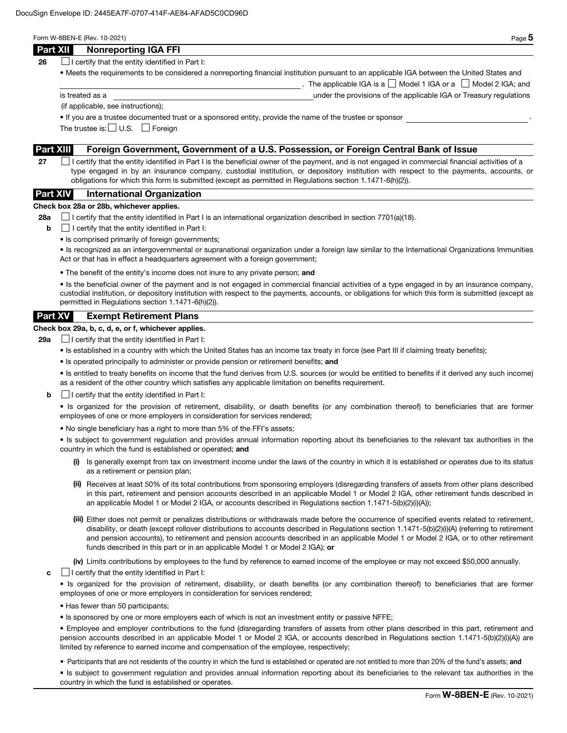|  | × |
|--|---|
|--|---|

The applicable IGA is a  $\Box$  Model 1 IGA or a  $\Box$  Model 2 IGA; and

| Part XII | <b>Nonreporting IGA FFI</b> |  |  |  |
|----------|-----------------------------|--|--|--|
|----------|-----------------------------|--|--|--|

**26**  $\Box$  I certify that the entity identified in Part I:

• Meets the requirements to be considered a nonreporting financial institution pursuant to an applicable IGA between the United States and

is treated as a under the provisions of the applicable IGA or Treasury regulations

(if applicable, see instructions);

• If you are a trustee documented trust or a sponsored entity, provide the name of the trustee or sponsor .

The trustee is:  $\Box$  U.S.  $\Box$  Foreign

## Part XIII Foreign Government, Government of a U.S. Possession, or Foreign Central Bank of Issue

27  $\Box$  I certify that the entity identified in Part I is the beneficial owner of the payment, and is not engaged in commercial financial activities of a type engaged in by an insurance company, custodial institution, or depository institution with respect to the payments, accounts, or obligations for which this form is submitted (except as permitted in Regulations section 1.1471-6(h)(2)).

# Part XIV International Organization

#### Check box 28a or 28b, whichever applies.

28a  $\Box$  I certify that the entity identified in Part I is an international organization described in section 7701(a)(18).

- $\mathbf{b}$   $\Box$  I certify that the entity identified in Part I:
	- Is comprised primarily of foreign governments;

• Is recognized as an intergovernmental or supranational organization under a foreign law similar to the International Organizations Immunities Act or that has in effect a headquarters agreement with a foreign government;

• The benefit of the entity's income does not inure to any private person; and

• Is the beneficial owner of the payment and is not engaged in commercial financial activities of a type engaged in by an insurance company, custodial institution, or depository institution with respect to the payments, accounts, or obligations for which this form is submitted (except as permitted in Regulations section 1.1471-6(h)(2)).

## Part XV Exempt Retirement Plans

## Check box 29a, b, c, d, e, or f, whichever applies.

**29a**  $\Box$  I certify that the entity identified in Part I:

- Is established in a country with which the United States has an income tax treaty in force (see Part III if claiming treaty benefits);
- Is operated principally to administer or provide pension or retirement benefits; and

• Is entitled to treaty benefits on income that the fund derives from U.S. sources (or would be entitled to benefits if it derived any such income) as a resident of the other country which satisfies any applicable limitation on benefits requirement.

 $\mathbf{b}$   $\Box$  I certify that the entity identified in Part I:

• Is organized for the provision of retirement, disability, or death benefits (or any combination thereof) to beneficiaries that are former employees of one or more employers in consideration for services rendered;

• No single beneficiary has a right to more than 5% of the FFI's assets;

• Is subject to government regulation and provides annual information reporting about its beneficiaries to the relevant tax authorities in the country in which the fund is established or operated; and

- (i) Is generally exempt from tax on investment income under the laws of the country in which it is established or operates due to its status as a retirement or pension plan;
- (ii) Receives at least 50% of its total contributions from sponsoring employers (disregarding transfers of assets from other plans described in this part, retirement and pension accounts described in an applicable Model 1 or Model 2 IGA, other retirement funds described in an applicable Model 1 or Model 2 IGA, or accounts described in Regulations section 1.1471-5(b)(2)(i)(A));
- (iii) Either does not permit or penalizes distributions or withdrawals made before the occurrence of specified events related to retirement, disability, or death (except rollover distributions to accounts described in Regulations section 1.1471-5(b)(2)(i)(A) (referring to retirement and pension accounts), to retirement and pension accounts described in an applicable Model 1 or Model 2 IGA, or to other retirement funds described in this part or in an applicable Model 1 or Model 2 IGA); or

(iv) Limits contributions by employees to the fund by reference to earned income of the employee or may not exceed \$50,000 annually.

 $\mathbf{c}$   $\Box$  I certify that the entity identified in Part I:

• Is organized for the provision of retirement, disability, or death benefits (or any combination thereof) to beneficiaries that are former employees of one or more employers in consideration for services rendered;

- Has fewer than 50 participants;
- Is sponsored by one or more employers each of which is not an investment entity or passive NFFE;

• Employee and employer contributions to the fund (disregarding transfers of assets from other plans described in this part, retirement and pension accounts described in an applicable Model 1 or Model 2 IGA, or accounts described in Regulations section 1.1471-5(b)(2)(i)(A)) are limited by reference to earned income and compensation of the employee, respectively;

• Participants that are not residents of the country in which the fund is established or operated are not entitled to more than 20% of the fund's assets; and

• Is subject to government regulation and provides annual information reporting about its beneficiaries to the relevant tax authorities in the country in which the fund is established or operates.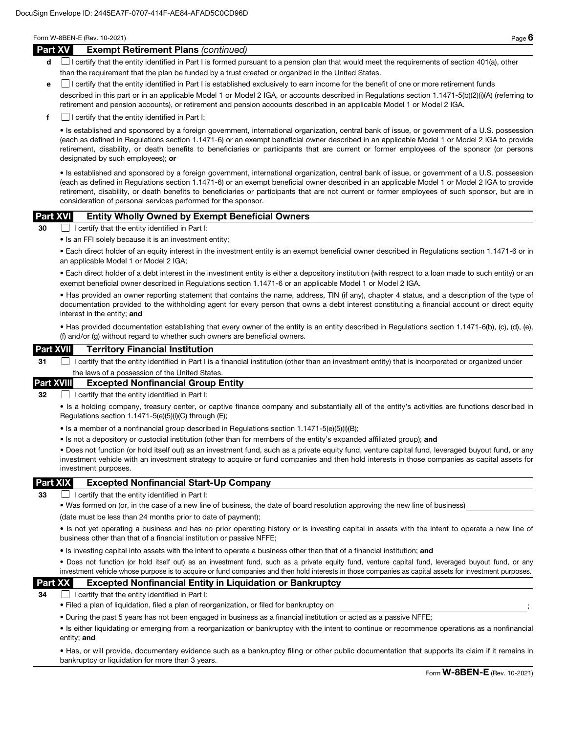#### Part XV Exempt Retirement Plans *(continued)*

- d **I** certify that the entity identified in Part I is formed pursuant to a pension plan that would meet the requirements of section 401(a), other than the requirement that the plan be funded by a trust created or organized in the United States.
- e I certify that the entity identified in Part I is established exclusively to earn income for the benefit of one or more retirement funds

described in this part or in an applicable Model 1 or Model 2 IGA, or accounts described in Regulations section 1.1471-5(b)(2)(i)(A) (referring to retirement and pension accounts), or retirement and pension accounts described in an applicable Model 1 or Model 2 IGA.

 $\mathbf{f}$  I certify that the entity identified in Part I:

• Is established and sponsored by a foreign government, international organization, central bank of issue, or government of a U.S. possession (each as defined in Regulations section 1.1471-6) or an exempt beneficial owner described in an applicable Model 1 or Model 2 IGA to provide retirement, disability, or death benefits to beneficiaries or participants that are current or former employees of the sponsor (or persons designated by such employees); or

• Is established and sponsored by a foreign government, international organization, central bank of issue, or government of a U.S. possession (each as defined in Regulations section 1.1471-6) or an exempt beneficial owner described in an applicable Model 1 or Model 2 IGA to provide retirement, disability, or death benefits to beneficiaries or participants that are not current or former employees of such sponsor, but are in consideration of personal services performed for the sponsor.

#### Part XVI Entity Wholly Owned by Exempt Beneficial Owners

30 I certify that the entity identified in Part I:

• Is an FFI solely because it is an investment entity;

• Each direct holder of an equity interest in the investment entity is an exempt beneficial owner described in Regulations section 1.1471-6 or in an applicable Model 1 or Model 2 IGA;

• Each direct holder of a debt interest in the investment entity is either a depository institution (with respect to a loan made to such entity) or an exempt beneficial owner described in Regulations section 1.1471-6 or an applicable Model 1 or Model 2 IGA.

• Has provided an owner reporting statement that contains the name, address, TIN (if any), chapter 4 status, and a description of the type of documentation provided to the withholding agent for every person that owns a debt interest constituting a financial account or direct equity interest in the entity; and

• Has provided documentation establishing that every owner of the entity is an entity described in Regulations section 1.1471-6(b), (c), (d), (e), (f) and/or (g) without regard to whether such owners are beneficial owners.

#### Part XVII Territory Financial Institution

31 I certify that the entity identified in Part I is a financial institution (other than an investment entity) that is incorporated or organized under the laws of a possession of the United States

#### Part XVIII Excepted Nonfinancial Group Entity

32 **I certify that the entity identified in Part I:** 

• Is a holding company, treasury center, or captive finance company and substantially all of the entity's activities are functions described in Regulations section 1.1471-5(e)(5)(i)(C) through (E);

- Is a member of a nonfinancial group described in Regulations section 1.1471-5(e)(5)(i)(B);
- Is not a depository or custodial institution (other than for members of the entity's expanded affiliated group); and

• Does not function (or hold itself out) as an investment fund, such as a private equity fund, venture capital fund, leveraged buyout fund, or any investment vehicle with an investment strategy to acquire or fund companies and then hold interests in those companies as capital assets for investment purposes.

#### Part XIX Excepted Nonfinancial Start-Up Company

33  $\Box$  I certify that the entity identified in Part I:

• Was formed on (or, in the case of a new line of business, the date of board resolution approving the new line of business)

(date must be less than 24 months prior to date of payment);

• Is not yet operating a business and has no prior operating history or is investing capital in assets with the intent to operate a new line of business other than that of a financial institution or passive NFFE;

• Is investing capital into assets with the intent to operate a business other than that of a financial institution; and

• Does not function (or hold itself out) as an investment fund, such as a private equity fund, venture capital fund, leveraged buyout fund, or any investment vehicle whose purpose is to acquire or fund companies and then hold interests in those companies as capital assets for investment purposes.

## Part XX Excepted Nonfinancial Entity in Liquidation or Bankruptcy

 $34$   $\Box$  I certify that the entity identified in Part I:

• Filed a plan of liquidation, filed a plan of reorganization, or filed for bankruptcy on ;

• During the past 5 years has not been engaged in business as a financial institution or acted as a passive NFFE;

• Is either liquidating or emerging from a reorganization or bankruptcy with the intent to continue or recommence operations as a nonfinancial entity; and

• Has, or will provide, documentary evidence such as a bankruptcy filing or other public documentation that supports its claim if it remains in bankruptcy or liquidation for more than 3 years.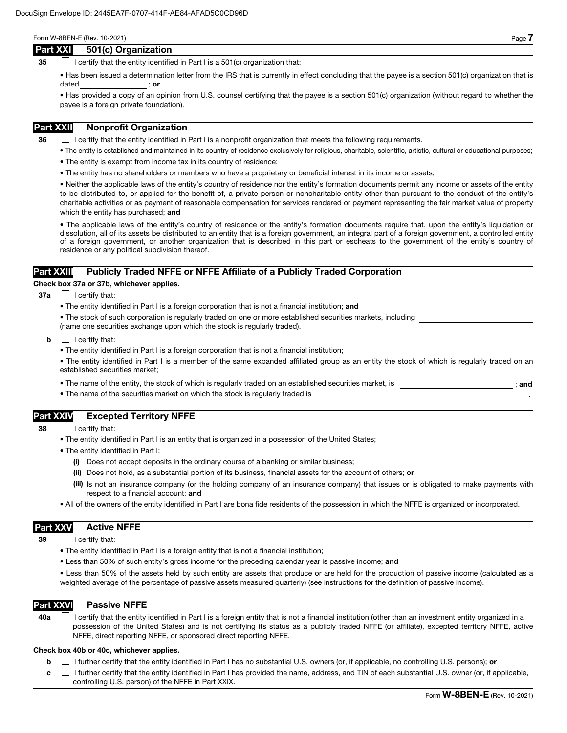#### Part XXI 501(c) Organization

35  $\Box$  I certify that the entity identified in Part I is a 501(c) organization that:

• Has been issued a determination letter from the IRS that is currently in effect concluding that the payee is a section 501(c) organization that is dated ; or

• Has provided a copy of an opinion from U.S. counsel certifying that the payee is a section 501(c) organization (without regard to whether the payee is a foreign private foundation).

# Part XXII Nonprofit Organization

 $36$  I certify that the entity identified in Part I is a nonprofit organization that meets the following requirements.

- The entity is established and maintained in its country of residence exclusively for religious, charitable, scientific, artistic, cultural or educational purposes;
- The entity is exempt from income tax in its country of residence;
- The entity has no shareholders or members who have a proprietary or beneficial interest in its income or assets;

• Neither the applicable laws of the entity's country of residence nor the entity's formation documents permit any income or assets of the entity to be distributed to, or applied for the benefit of, a private person or noncharitable entity other than pursuant to the conduct of the entity's charitable activities or as payment of reasonable compensation for services rendered or payment representing the fair market value of property which the entity has purchased; and

• The applicable laws of the entity's country of residence or the entity's formation documents require that, upon the entity's liquidation or dissolution, all of its assets be distributed to an entity that is a foreign government, an integral part of a foreign government, a controlled entity of a foreign government, or another organization that is described in this part or escheats to the government of the entity's country of residence or any political subdivision thereof.

# Part XXIII Publicly Traded NFFE or NFFE Affiliate of a Publicly Traded Corporation

#### Check box 37a or 37b, whichever applies.

- $37a$  | certify that:
	- The entity identified in Part I is a foreign corporation that is not a financial institution; and
	- The stock of such corporation is regularly traded on one or more established securities markets, including (name one securities exchange upon which the stock is regularly traded).
	- $\mathbf{b}$   $\Box$  I certify that:
		- The entity identified in Part I is a foreign corporation that is not a financial institution;
		- The entity identified in Part I is a member of the same expanded affiliated group as an entity the stock of which is regularly traded on an established securities market;
		- The name of the entity, the stock of which is regularly traded on an established securities market, is  $\cdot$  ; and
		- The name of the securities market on which the stock is regularly traded is

# Part XXIV Excepted Territory NFFE

- 38 **I** certify that:
	- The entity identified in Part I is an entity that is organized in a possession of the United States;
	- The entity identified in Part I:
		- (i) Does not accept deposits in the ordinary course of a banking or similar business;
		- (ii) Does not hold, as a substantial portion of its business, financial assets for the account of others; or
		- (iii) Is not an insurance company (or the holding company of an insurance company) that issues or is obligated to make payments with respect to a financial account; and
	- All of the owners of the entity identified in Part I are bona fide residents of the possession in which the NFFE is organized or incorporated.

#### Part XXV Active NFFE

 $39$  | I certify that:

- The entity identified in Part I is a foreign entity that is not a financial institution;
- Less than 50% of such entity's gross income for the preceding calendar year is passive income; and

• Less than 50% of the assets held by such entity are assets that produce or are held for the production of passive income (calculated as a weighted average of the percentage of passive assets measured quarterly) (see instructions for the definition of passive income).

#### Part XXVI Passive NFFE

40a  $\Box$  I certify that the entity identified in Part I is a foreign entity that is not a financial institution (other than an investment entity organized in a possession of the United States) and is not certifying its status as a publicly traded NFFE (or affiliate), excepted territory NFFE, active NFFE, direct reporting NFFE, or sponsored direct reporting NFFE.

#### Check box 40b or 40c, whichever applies.

**b**  $\Box$  I further certify that the entity identified in Part I has no substantial U.S. owners (or, if applicable, no controlling U.S. persons); or

 $c \perp$  I further certify that the entity identified in Part I has provided the name, address, and TIN of each substantial U.S. owner (or, if applicable, controlling U.S. person) of the NFFE in Part XXIX.